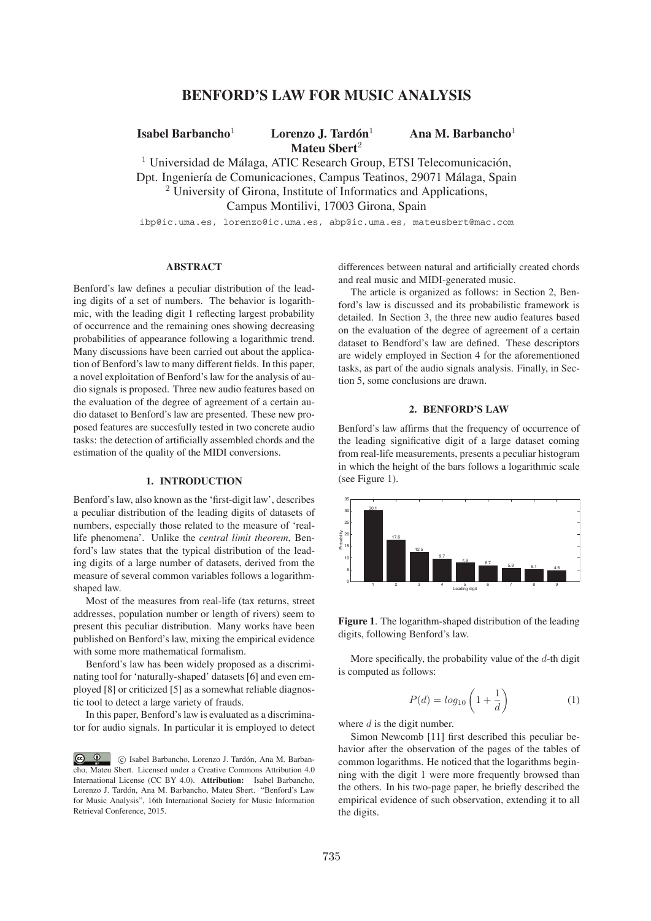# **BENFORD'S LAW FOR MUSIC ANALYSIS**

**Isabel Barbancho**<sup>1</sup> **Lorenzo J. Tardon´** <sup>1</sup> **Ana M. Barbancho**<sup>1</sup> **Mateu Sbert**<sup>2</sup>

 $1$  Universidad de Málaga, ATIC Research Group, ETSI Telecomunicación, Dpt. Ingeniería de Comunicaciones, Campus Teatinos, 29071 Málaga, Spain <sup>2</sup> University of Girona, Institute of Informatics and Applications, Campus Montilivi, 17003 Girona, Spain

ibp@ic.uma.es, lorenzo@ic.uma.es, abp@ic.uma.es, mateusbert@mac.com

## **ABSTRACT**

Benford's law defines a peculiar distribution of the leading digits of a set of numbers. The behavior is logarithmic, with the leading digit 1 reflecting largest probability of occurrence and the remaining ones showing decreasing probabilities of appearance following a logarithmic trend. Many discussions have been carried out about the application of Benford's law to many different fields. In this paper, a novel exploitation of Benford's law for the analysis of audio signals is proposed. Three new audio features based on the evaluation of the degree of agreement of a certain audio dataset to Benford's law are presented. These new proposed features are succesfully tested in two concrete audio tasks: the detection of artificially assembled chords and the estimation of the quality of the MIDI conversions.

### **1. INTRODUCTION**

Benford's law, also known as the 'first-digit law', describes a peculiar distribution of the leading digits of datasets of numbers, especially those related to the measure of 'reallife phenomena'. Unlike the *central limit theorem*, Benford's law states that the typical distribution of the leading digits of a large number of datasets, derived from the measure of several common variables follows a logarithmshaped law.

Most of the measures from real-life (tax returns, street addresses, population number or length of rivers) seem to present this peculiar distribution. Many works have been published on Benford's law, mixing the empirical evidence with some more mathematical formalism.

Benford's law has been widely proposed as a discriminating tool for 'naturally-shaped' datasets [6] and even employed [8] or criticized [5] as a somewhat reliable diagnostic tool to detect a large variety of frauds.

In this paper, Benford's law is evaluated as a discriminator for audio signals. In particular it is employed to detect

 $\circ$   $\circ$  $\odot$  Isabel Barbancho, Lorenzo J. Tardón, Ana M. Barbancho, Mateu Sbert. Licensed under a Creative Commons Attribution 4.0 International License (CC BY 4.0). **Attribution:** Isabel Barbancho, Lorenzo J. Tardón, Ana M. Barbancho, Mateu Sbert. "Benford's Law for Music Analysis", 16th International Society for Music Information Retrieval Conference, 2015.

differences between natural and artificially created chords and real music and MIDI-generated music.

The article is organized as follows: in Section 2, Benford's law is discussed and its probabilistic framework is detailed. In Section 3, the three new audio features based on the evaluation of the degree of agreement of a certain dataset to Bendford's law are defined. These descriptors are widely employed in Section 4 for the aforementioned tasks, as part of the audio signals analysis. Finally, in Section 5, some conclusions are drawn.

## **2. BENFORD'S LAW**

Benford's law affirms that the frequency of occurrence of the leading significative digit of a large dataset coming from real-life measurements, presents a peculiar histogram in which the height of the bars follows a logarithmic scale (see Figure 1).



**Figure 1**. The logarithm-shaped distribution of the leading digits, following Benford's law.

More specifically, the probability value of the *d*-th digit is computed as follows:

$$
P(d) = log_{10}\left(1 + \frac{1}{d}\right) \tag{1}
$$

where *d* is the digit number.

Simon Newcomb [11] first described this peculiar behavior after the observation of the pages of the tables of common logarithms. He noticed that the logarithms beginning with the digit 1 were more frequently browsed than the others. In his two-page paper, he briefly described the empirical evidence of such observation, extending it to all the digits.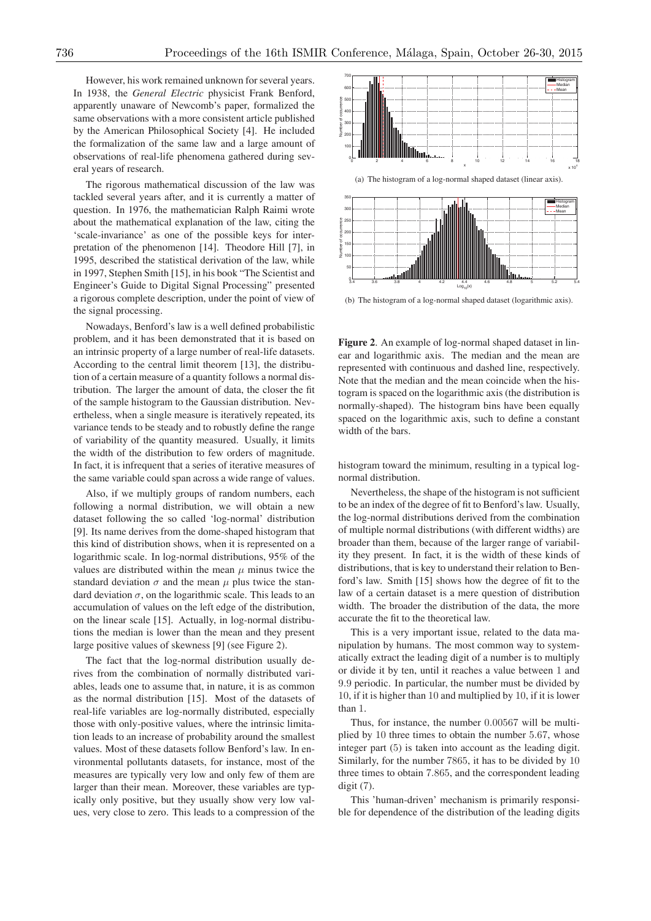However, his work remained unknown for several years. In 1938, the *General Electric* physicist Frank Benford, apparently unaware of Newcomb's paper, formalized the same observations with a more consistent article published by the American Philosophical Society [4]. He included the formalization of the same law and a large amount of observations of real-life phenomena gathered during several years of research.

The rigorous mathematical discussion of the law was tackled several years after, and it is currently a matter of question. In 1976, the mathematician Ralph Raimi wrote about the mathematical explanation of the law, citing the 'scale-invariance' as one of the possible keys for interpretation of the phenomenon [14]. Theodore Hill [7], in 1995, described the statistical derivation of the law, while in 1997, Stephen Smith [15], in his book "The Scientist and Engineer's Guide to Digital Signal Processing" presented a rigorous complete description, under the point of view of the signal processing.

Nowadays, Benford's law is a well defined probabilistic problem, and it has been demonstrated that it is based on an intrinsic property of a large number of real-life datasets. According to the central limit theorem [13], the distribution of a certain measure of a quantity follows a normal distribution. The larger the amount of data, the closer the fit of the sample histogram to the Gaussian distribution. Nevertheless, when a single measure is iteratively repeated, its variance tends to be steady and to robustly define the range of variability of the quantity measured. Usually, it limits the width of the distribution to few orders of magnitude. In fact, it is infrequent that a series of iterative measures of the same variable could span across a wide range of values.

Also, if we multiply groups of random numbers, each following a normal distribution, we will obtain a new dataset following the so called 'log-normal' distribution [9]. Its name derives from the dome-shaped histogram that this kind of distribution shows, when it is represented on a logarithmic scale. In log-normal distributions, 95% of the values are distributed within the mean  $\mu$  minus twice the standard deviation  $\sigma$  and the mean  $\mu$  plus twice the standard deviation  $\sigma$ , on the logarithmic scale. This leads to an accumulation of values on the left edge of the distribution, on the linear scale [15]. Actually, in log-normal distributions the median is lower than the mean and they present large positive values of skewness [9] (see Figure 2).

The fact that the log-normal distribution usually derives from the combination of normally distributed variables, leads one to assume that, in nature, it is as common as the normal distribution [15]. Most of the datasets of real-life variables are log-normally distributed, especially those with only-positive values, where the intrinsic limitation leads to an increase of probability around the smallest values. Most of these datasets follow Benford's law. In environmental pollutants datasets, for instance, most of the measures are typically very low and only few of them are larger than their mean. Moreover, these variables are typically only positive, but they usually show very low values, very close to zero. This leads to a compression of the



(b) The histogram of a log-normal shaped dataset (logarithmic axis).

**Figure 2**. An example of log-normal shaped dataset in linear and logarithmic axis. The median and the mean are represented with continuous and dashed line, respectively. Note that the median and the mean coincide when the histogram is spaced on the logarithmic axis (the distribution is normally-shaped). The histogram bins have been equally spaced on the logarithmic axis, such to define a constant width of the bars.

histogram toward the minimum, resulting in a typical lognormal distribution.

Nevertheless, the shape of the histogram is not sufficient to be an index of the degree of fit to Benford's law. Usually, the log-normal distributions derived from the combination of multiple normal distributions (with different widths) are broader than them, because of the larger range of variability they present. In fact, it is the width of these kinds of distributions, that is key to understand their relation to Benford's law. Smith [15] shows how the degree of fit to the law of a certain dataset is a mere question of distribution width. The broader the distribution of the data, the more accurate the fit to the theoretical law.

This is a very important issue, related to the data manipulation by humans. The most common way to systematically extract the leading digit of a number is to multiply or divide it by ten, until it reaches a value between 1 and 9*.*9 periodic. In particular, the number must be divided by 10, if it is higher than 10 and multiplied by 10, if it is lower than 1.

Thus, for instance, the number 0*.*00567 will be multiplied by 10 three times to obtain the number 5*.*67, whose integer part (5) is taken into account as the leading digit. Similarly, for the number 7865, it has to be divided by 10 three times to obtain 7*.*865, and the correspondent leading digit (7).

This 'human-driven' mechanism is primarily responsible for dependence of the distribution of the leading digits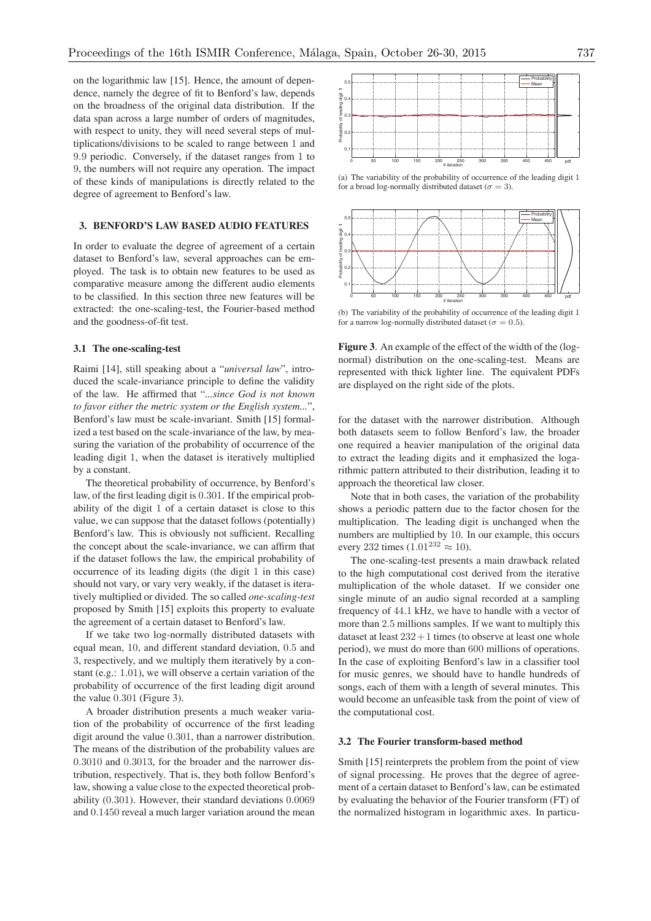on the logarithmic law [15]. Hence, the amount of dependence, namely the degree of fit to Benford's law, depends on the broadness of the original data distribution. If the data span across a large number of orders of magnitudes, with respect to unity, they will need several steps of multiplications/divisions to be scaled to range between 1 and 9*.*9 periodic. Conversely, if the dataset ranges from 1 to 9, the numbers will not require any operation. The impact of these kinds of manipulations is directly related to the degree of agreement to Benford's law.

### **3. BENFORD'S LAW BASED AUDIO FEATURES**

In order to evaluate the degree of agreement of a certain dataset to Benford's law, several approaches can be employed. The task is to obtain new features to be used as comparative measure among the different audio elements to be classified. In this section three new features will be extracted: the one-scaling-test, the Fourier-based method and the goodness-of-fit test.

#### **3.1 The one-scaling-test**

Raimi [14], still speaking about a "*universal law*", introduced the scale-invariance principle to define the validity of the law. He affirmed that "*...since God is not known to favor either the metric system or the English system...*", Benford's law must be scale-invariant. Smith [15] formalized a test based on the scale-invariance of the law, by measuring the variation of the probability of occurrence of the leading digit 1, when the dataset is iteratively multiplied by a constant.

The theoretical probability of occurrence, by Benford's law, of the first leading digit is 0*.*301. If the empirical probability of the digit 1 of a certain dataset is close to this value, we can suppose that the dataset follows (potentially) Benford's law. This is obviously not sufficient. Recalling the concept about the scale-invariance, we can affirm that if the dataset follows the law, the empirical probability of occurrence of its leading digits (the digit 1 in this case) should not vary, or vary very weakly, if the dataset is iteratively multiplied or divided. The so called *one-scaling-test* proposed by Smith [15] exploits this property to evaluate the agreement of a certain dataset to Benford's law.

If we take two log-normally distributed datasets with equal mean, 10, and different standard deviation, 0*.*5 and 3, respectively, and we multiply them iteratively by a constant (e.g.: 1*.*01), we will observe a certain variation of the probability of occurrence of the first leading digit around the value 0*.*301 (Figure 3).

A broader distribution presents a much weaker variation of the probability of occurrence of the first leading digit around the value 0*.*301, than a narrower distribution. The means of the distribution of the probability values are 0*.*3010 and 0*.*3013, for the broader and the narrower distribution, respectively. That is, they both follow Benford's law, showing a value close to the expected theoretical probability (0*.*301). However, their standard deviations 0*.*0069 and 0*.*1450 reveal a much larger variation around the mean



(a) The variability of the probability of occurrence of the leading digit 1 for a broad log-normally distributed dataset ( $\sigma = 3$ ).



(b) The variability of the probability of occurrence of the leading digit 1 for a narrow log-normally distributed dataset ( $\sigma = 0.5$ ).

**Figure 3**. An example of the effect of the width of the (lognormal) distribution on the one-scaling-test. Means are represented with thick lighter line. The equivalent PDFs are displayed on the right side of the plots.

for the dataset with the narrower distribution. Although both datasets seem to follow Benford's law, the broader one required a heavier manipulation of the original data to extract the leading digits and it emphasized the logarithmic pattern attributed to their distribution, leading it to approach the theoretical law closer.

Note that in both cases, the variation of the probability shows a periodic pattern due to the factor chosen for the multiplication. The leading digit is unchanged when the numbers are multiplied by 10. In our example, this occurs every 232 times  $(1.01^{232} \approx 10)$ .

The one-scaling-test presents a main drawback related to the high computational cost derived from the iterative multiplication of the whole dataset. If we consider one single minute of an audio signal recorded at a sampling frequency of 44*.*1 kHz, we have to handle with a vector of more than 2*.*5 millions samples. If we want to multiply this dataset at least  $232+1$  times (to observe at least one whole period), we must do more than 600 millions of operations. In the case of exploiting Benford's law in a classifier tool for music genres, we should have to handle hundreds of songs, each of them with a length of several minutes. This would become an unfeasible task from the point of view of the computational cost.

### **3.2 The Fourier transform-based method**

Smith [15] reinterprets the problem from the point of view of signal processing. He proves that the degree of agreement of a certain dataset to Benford's law, can be estimated by evaluating the behavior of the Fourier transform (FT) of the normalized histogram in logarithmic axes. In particu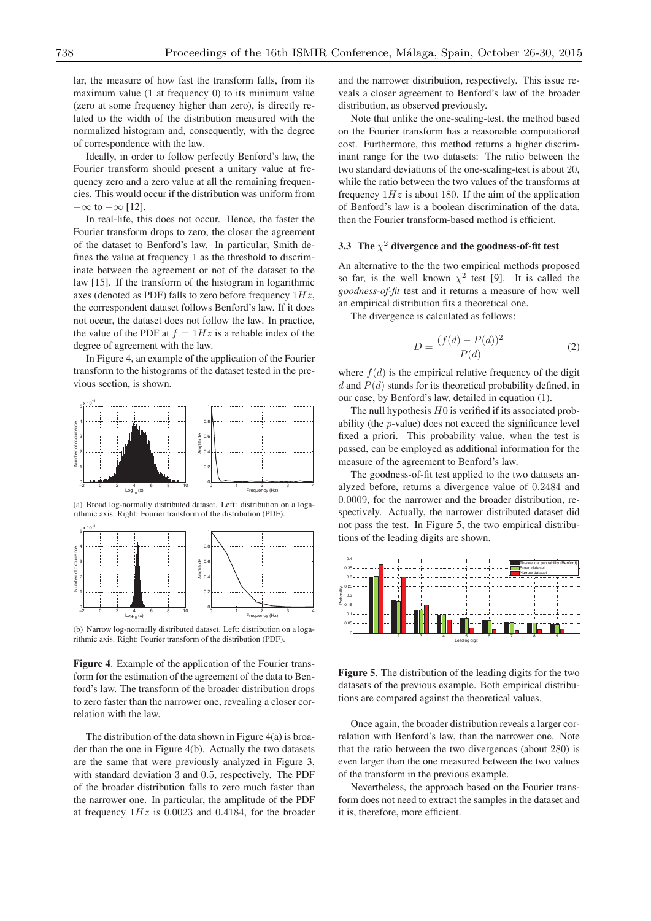lar, the measure of how fast the transform falls, from its maximum value (1 at frequency 0) to its minimum value (zero at some frequency higher than zero), is directly related to the width of the distribution measured with the normalized histogram and, consequently, with the degree of correspondence with the law.

Ideally, in order to follow perfectly Benford's law, the Fourier transform should present a unitary value at frequency zero and a zero value at all the remaining frequencies. This would occur if the distribution was uniform from  $-\infty$  to  $+\infty$  [12].

In real-life, this does not occur. Hence, the faster the Fourier transform drops to zero, the closer the agreement of the dataset to Benford's law. In particular, Smith defines the value at frequency 1 as the threshold to discriminate between the agreement or not of the dataset to the law [15]. If the transform of the histogram in logarithmic axes (denoted as PDF) falls to zero before frequency 1*Hz*, the correspondent dataset follows Benford's law. If it does not occur, the dataset does not follow the law. In practice, the value of the PDF at  $f = 1 Hz$  is a reliable index of the degree of agreement with the law.

In Figure 4, an example of the application of the Fourier transform to the histograms of the dataset tested in the previous section, is shown.



(a) Broad log-normally distributed dataset. Left: distribution on a logarithmic axis. Right: Fourier transform of the distribution (PDF).



(b) Narrow log-normally distributed dataset. Left: distribution on a logarithmic axis. Right: Fourier transform of the distribution (PDF).

**Figure 4**. Example of the application of the Fourier transform for the estimation of the agreement of the data to Benford's law. The transform of the broader distribution drops to zero faster than the narrower one, revealing a closer correlation with the law.

The distribution of the data shown in Figure  $4(a)$  is broader than the one in Figure 4(b). Actually the two datasets are the same that were previously analyzed in Figure 3, with standard deviation 3 and 0*.*5, respectively. The PDF of the broader distribution falls to zero much faster than the narrower one. In particular, the amplitude of the PDF at frequency 1*Hz* is 0*.*0023 and 0*.*4184, for the broader and the narrower distribution, respectively. This issue reveals a closer agreement to Benford's law of the broader distribution, as observed previously.

Note that unlike the one-scaling-test, the method based on the Fourier transform has a reasonable computational cost. Furthermore, this method returns a higher discriminant range for the two datasets: The ratio between the two standard deviations of the one-scaling-test is about 20, while the ratio between the two values of the transforms at frequency  $1Hz$  is about 180. If the aim of the application of Benford's law is a boolean discrimination of the data, then the Fourier transform-based method is efficient.

# **3.3** The  $\chi^2$  divergence and the goodness-of-fit test

An alternative to the the two empirical methods proposed so far, is the well known  $\chi^2$  test [9]. It is called the *goodness-of-fit* test and it returns a measure of how well an empirical distribution fits a theoretical one.

The divergence is calculated as follows:

$$
D = \frac{(f(d) - P(d))^2}{P(d)} \tag{2}
$$

where  $f(d)$  is the empirical relative frequency of the digit *d* and *P*(*d*) stands for its theoretical probability defined, in our case, by Benford's law, detailed in equation (1).

The null hypothesis *H*0 is verified if its associated probability (the *p*-value) does not exceed the significance level fixed a priori. This probability value, when the test is passed, can be employed as additional information for the measure of the agreement to Benford's law.

The goodness-of-fit test applied to the two datasets analyzed before, returns a divergence value of 0*.*2484 and 0*.*0009, for the narrower and the broader distribution, respectively. Actually, the narrower distributed dataset did not pass the test. In Figure 5, the two empirical distributions of the leading digits are shown.



**Figure 5**. The distribution of the leading digits for the two datasets of the previous example. Both empirical distributions are compared against the theoretical values.

Once again, the broader distribution reveals a larger correlation with Benford's law, than the narrower one. Note that the ratio between the two divergences (about 280) is even larger than the one measured between the two values of the transform in the previous example.

Nevertheless, the approach based on the Fourier transform does not need to extract the samples in the dataset and it is, therefore, more efficient.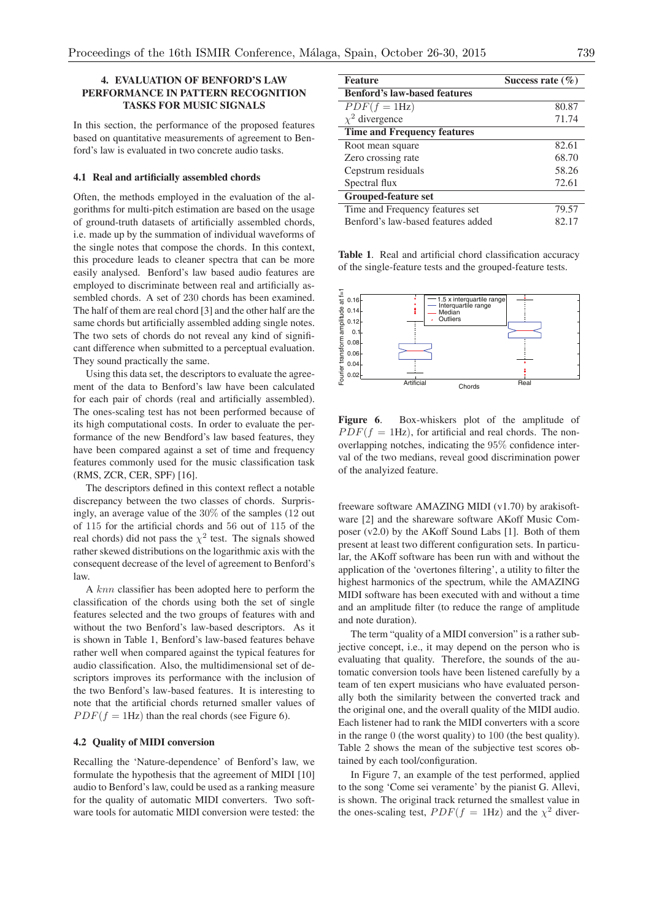# **4. EVALUATION OF BENFORD'S LAW PERFORMANCE IN PATTERN RECOGNITION TASKS FOR MUSIC SIGNALS**

In this section, the performance of the proposed features based on quantitative measurements of agreement to Benford's law is evaluated in two concrete audio tasks.

#### **4.1 Real and artificially assembled chords**

Often, the methods employed in the evaluation of the algorithms for multi-pitch estimation are based on the usage of ground-truth datasets of artificially assembled chords, i.e. made up by the summation of individual waveforms of the single notes that compose the chords. In this context, this procedure leads to cleaner spectra that can be more easily analysed. Benford's law based audio features are employed to discriminate between real and artificially assembled chords. A set of 230 chords has been examined. The half of them are real chord [3] and the other half are the same chords but artificially assembled adding single notes. The two sets of chords do not reveal any kind of significant difference when submitted to a perceptual evaluation. They sound practically the same.

Using this data set, the descriptors to evaluate the agreement of the data to Benford's law have been calculated for each pair of chords (real and artificially assembled). The ones-scaling test has not been performed because of its high computational costs. In order to evaluate the performance of the new Bendford's law based features, they have been compared against a set of time and frequency features commonly used for the music classification task (RMS, ZCR, CER, SPF) [16].

The descriptors defined in this context reflect a notable discrepancy between the two classes of chords. Surprisingly, an average value of the 30% of the samples (12 out of 115 for the artificial chords and 56 out of 115 of the real chords) did not pass the  $\chi^2$  test. The signals showed rather skewed distributions on the logarithmic axis with the consequent decrease of the level of agreement to Benford's law.

A *knn* classifier has been adopted here to perform the classification of the chords using both the set of single features selected and the two groups of features with and without the two Benford's law-based descriptors. As it is shown in Table 1, Benford's law-based features behave rather well when compared against the typical features for audio classification. Also, the multidimensional set of descriptors improves its performance with the inclusion of the two Benford's law-based features. It is interesting to note that the artificial chords returned smaller values of  $PDF(f = 1Hz)$  than the real chords (see Figure 6).

#### **4.2 Quality of MIDI conversion**

Recalling the 'Nature-dependence' of Benford's law, we formulate the hypothesis that the agreement of MIDI [10] audio to Benford's law, could be used as a ranking measure for the quality of automatic MIDI converters. Two software tools for automatic MIDI conversion were tested: the

| <b>Feature</b>                      | Success rate $(\% )$ |
|-------------------------------------|----------------------|
| <b>Benford's law-based features</b> |                      |
| $PDF(f = 1Hz)$                      | 80.87                |
| $\chi^2$ divergence                 | 71.74                |
| <b>Time and Frequency features</b>  |                      |
| Root mean square                    | 82.61                |
| Zero crossing rate                  | 68.70                |
| Cepstrum residuals                  | 58.26                |
| Spectral flux                       | 72.61                |
| <b>Grouped-feature set</b>          |                      |
| Time and Frequency features set     | 79.57                |
| Benford's law-based features added  | 82.17                |

**Table 1**. Real and artificial chord classification accuracy of the single-feature tests and the grouped-feature tests.



**Figure 6**. Box-whiskers plot of the amplitude of  $PDF(f = 1Hz)$ , for artificial and real chords. The nonoverlapping notches, indicating the 95% confidence interval of the two medians, reveal good discrimination power of the analyized feature.

freeware software AMAZING MIDI (v1.70) by arakisoftware [2] and the shareware software AKoff Music Composer (v2.0) by the AKoff Sound Labs [1]. Both of them present at least two different configuration sets. In particular, the AKoff software has been run with and without the application of the 'overtones filtering', a utility to filter the highest harmonics of the spectrum, while the AMAZING MIDI software has been executed with and without a time and an amplitude filter (to reduce the range of amplitude and note duration).

The term "quality of a MIDI conversion" is a rather subjective concept, i.e., it may depend on the person who is evaluating that quality. Therefore, the sounds of the automatic conversion tools have been listened carefully by a team of ten expert musicians who have evaluated personally both the similarity between the converted track and the original one, and the overall quality of the MIDI audio. Each listener had to rank the MIDI converters with a score in the range 0 (the worst quality) to 100 (the best quality). Table 2 shows the mean of the subjective test scores obtained by each tool/configuration.

In Figure 7, an example of the test performed, applied to the song 'Come sei veramente' by the pianist G. Allevi, is shown. The original track returned the smallest value in the ones-scaling test,  $PDF(f = 1Hz)$  and the  $\chi^2$  diver-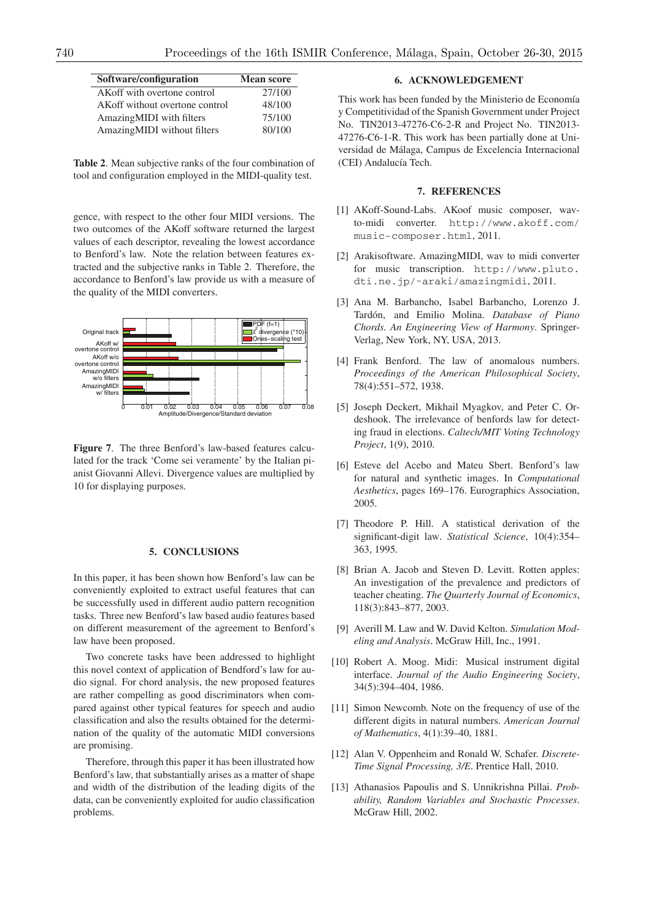| Software/configuration         | <b>Mean score</b> |
|--------------------------------|-------------------|
| AKoff with overtone control    | 27/100            |
| AKoff without overtone control | 48/100            |
| AmazingMIDI with filters       | 75/100            |
| AmazingMIDI without filters    | 80/100            |

**Table 2**. Mean subjective ranks of the four combination of tool and configuration employed in the MIDI-quality test.

gence, with respect to the other four MIDI versions. The two outcomes of the AKoff software returned the largest values of each descriptor, revealing the lowest accordance to Benford's law. Note the relation between features extracted and the subjective ranks in Table 2. Therefore, the accordance to Benford's law provide us with a measure of the quality of the MIDI converters.



**Figure 7**. The three Benford's law-based features calculated for the track 'Come sei veramente' by the Italian pianist Giovanni Allevi. Divergence values are multiplied by 10 for displaying purposes.

#### **5. CONCLUSIONS**

In this paper, it has been shown how Benford's law can be conveniently exploited to extract useful features that can be successfully used in different audio pattern recognition tasks. Three new Benford's law based audio features based on different measurement of the agreement to Benford's law have been proposed.

Two concrete tasks have been addressed to highlight this novel context of application of Bendford's law for audio signal. For chord analysis, the new proposed features are rather compelling as good discriminators when compared against other typical features for speech and audio classification and also the results obtained for the determination of the quality of the automatic MIDI conversions are promising.

Therefore, through this paper it has been illustrated how Benford's law, that substantially arises as a matter of shape and width of the distribution of the leading digits of the data, can be conveniently exploited for audio classification problems.

# **6. ACKNOWLEDGEMENT**

This work has been funded by the Ministerio de Economía y Competitividad of the Spanish Government under Project No. TIN2013-47276-C6-2-R and Project No. TIN2013- 47276-C6-1-R. This work has been partially done at Universidad de Malaga, Campus de Excelencia Internacional ´ (CEI) Andalucía Tech.

#### **7. REFERENCES**

- [1] AKoff-Sound-Labs. AKoof music composer, wavto-midi converter. http://www.akoff.com/ music-composer.html, 2011.
- [2] Arakisoftware. AmazingMIDI, wav to midi converter for music transcription. http://www.pluto. dti.ne.jp/˜araki/amazingmidi, 2011.
- [3] Ana M. Barbancho, Isabel Barbancho, Lorenzo J. Tardón, and Emilio Molina. Database of Piano *Chords. An Engineering View of Harmony*. Springer-Verlag, New York, NY, USA, 2013.
- [4] Frank Benford. The law of anomalous numbers. *Proceedings of the American Philosophical Society*, 78(4):551–572, 1938.
- [5] Joseph Deckert, Mikhail Myagkov, and Peter C. Ordeshook. The irrelevance of benfords law for detecting fraud in elections. *Caltech/MIT Voting Technology Project*, 1(9), 2010.
- [6] Esteve del Acebo and Mateu Sbert. Benford's law for natural and synthetic images. In *Computational Aesthetics*, pages 169–176. Eurographics Association, 2005.
- [7] Theodore P. Hill. A statistical derivation of the significant-digit law. *Statistical Science*, 10(4):354– 363, 1995.
- [8] Brian A. Jacob and Steven D. Levitt. Rotten apples: An investigation of the prevalence and predictors of teacher cheating. *The Quarterly Journal of Economics*, 118(3):843–877, 2003.
- [9] Averill M. Law and W. David Kelton. *Simulation Modeling and Analysis*. McGraw Hill, Inc., 1991.
- [10] Robert A. Moog. Midi: Musical instrument digital interface. *Journal of the Audio Engineering Society*, 34(5):394–404, 1986.
- [11] Simon Newcomb. Note on the frequency of use of the different digits in natural numbers. *American Journal of Mathematics*, 4(1):39–40, 1881.
- [12] Alan V. Oppenheim and Ronald W. Schafer. *Discrete-Time Signal Processing, 3/E*. Prentice Hall, 2010.
- [13] Athanasios Papoulis and S. Unnikrishna Pillai. *Probability, Random Variables and Stochastic Processes*. McGraw Hill, 2002.